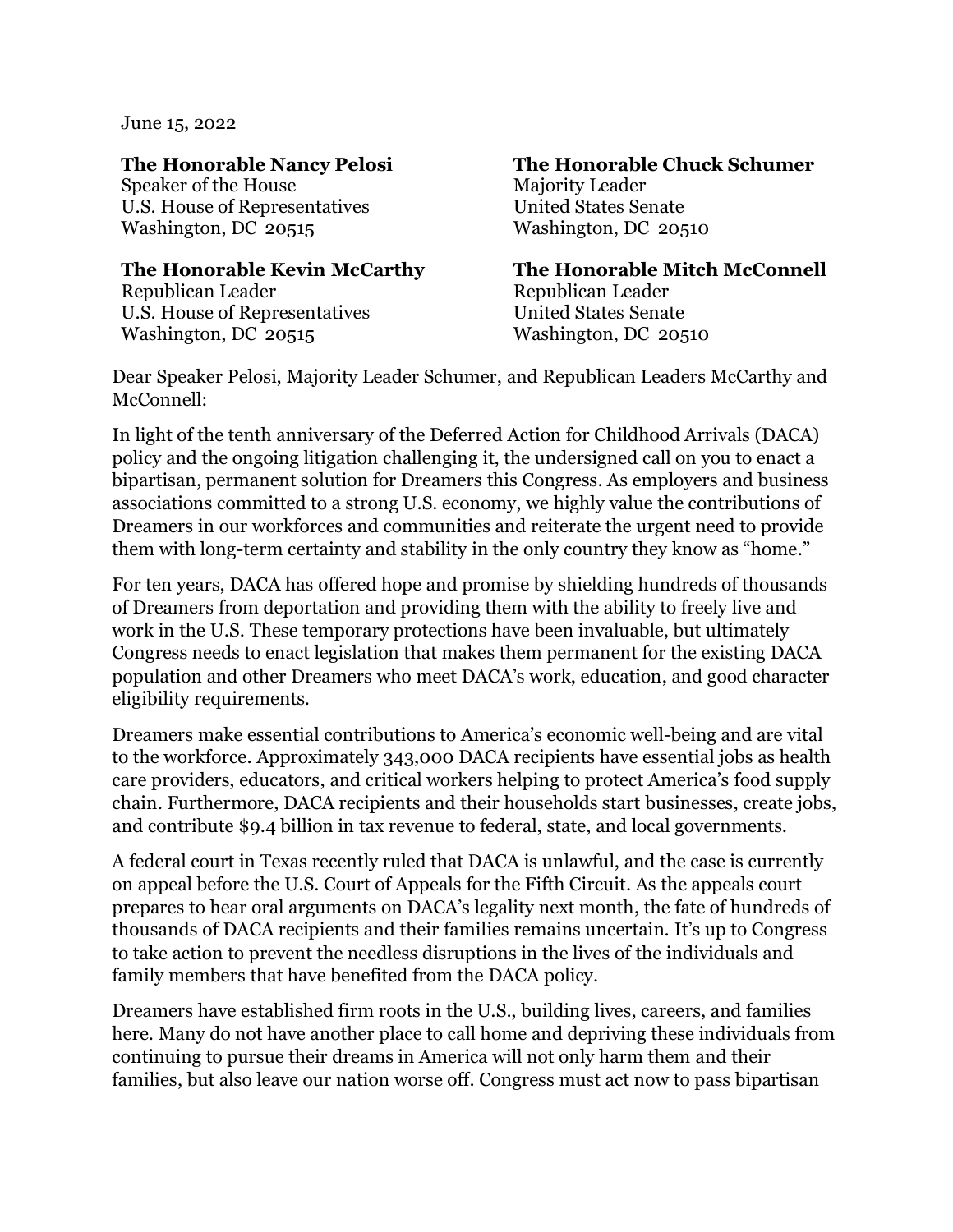June 15, 2022

Speaker of the House Majority Leader U.S. House of Representatives United States Senate Washington, DC 20515 Washington, DC 20510

Republican Leader **Republican Leader** U.S. House of Representatives United States Senate Washington, DC 20515 Washington, DC 20510

## **The Honorable Nancy Pelosi The Honorable Chuck Schumer**

**The Honorable Kevin McCarthy The Honorable Mitch McConnell**

Dear Speaker Pelosi, Majority Leader Schumer, and Republican Leaders McCarthy and McConnell:

In light of the tenth anniversary of the Deferred Action for Childhood Arrivals (DACA) policy and the ongoing litigation challenging it, the undersigned call on you to enact a bipartisan, permanent solution for Dreamers this Congress. As employers and business associations committed to a strong U.S. economy, we highly value the contributions of Dreamers in our workforces and communities and reiterate the urgent need to provide them with long-term certainty and stability in the only country they know as "home."

For ten years, DACA has offered hope and promise by shielding hundreds of thousands of Dreamers from deportation and providing them with the ability to freely live and work in the U.S. These temporary protections have been invaluable, but ultimately Congress needs to enact legislation that makes them permanent for the existing DACA population and other Dreamers who meet DACA's work, education, and good character eligibility requirements.

Dreamers make essential contributions to America's economic well-being and are vital to the workforce. Approximately 343,000 DACA recipients have essential jobs as health care providers, educators, and critical workers helping to protect America's food supply chain. Furthermore, DACA recipients and their households start businesses, create jobs, and contribute \$9.4 billion in tax revenue to federal, state, and local governments.

A federal court in Texas recently ruled that DACA is unlawful, and the case is currently on appeal before the U.S. Court of Appeals for the Fifth Circuit. As the appeals court prepares to hear oral arguments on DACA's legality next month, the fate of hundreds of thousands of DACA recipients and their families remains uncertain. It's up to Congress to take action to prevent the needless disruptions in the lives of the individuals and family members that have benefited from the DACA policy.

Dreamers have established firm roots in the U.S., building lives, careers, and families here. Many do not have another place to call home and depriving these individuals from continuing to pursue their dreams in America will not only harm them and their families, but also leave our nation worse off. Congress must act now to pass bipartisan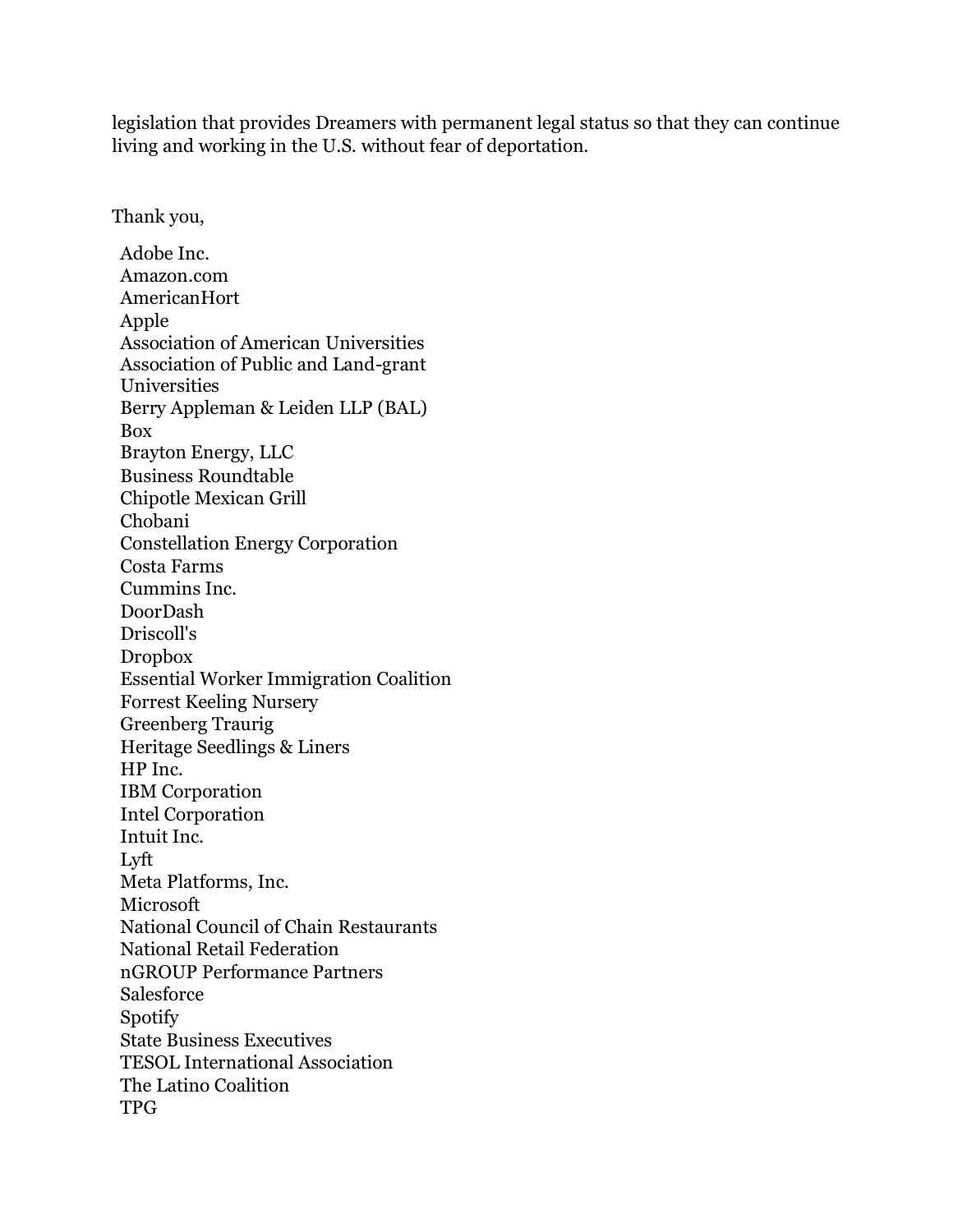legislation that provides Dreamers with permanent legal status so that they can continue living and working in the U.S. without fear of deportation.

Thank you,

Adobe Inc. Amazon.com AmericanHort Apple Association of American Universities Association of Public and Land-grant Universities Berry Appleman & Leiden LLP (BAL) Box Brayton Energy, LLC Business Roundtable Chipotle Mexican Grill Chobani Constellation Energy Corporation Costa Farms Cummins Inc. DoorDash Driscoll's Dropbox Essential Worker Immigration Coalition Forrest Keeling Nursery Greenberg Traurig Heritage Seedlings & Liners HP Inc. IBM Corporation Intel Corporation Intuit Inc. Lyft Meta Platforms, Inc. Microsoft National Council of Chain Restaurants National Retail Federation nGROUP Performance Partners Salesforce Spotify State Business Executives TESOL International Association The Latino Coalition TPG